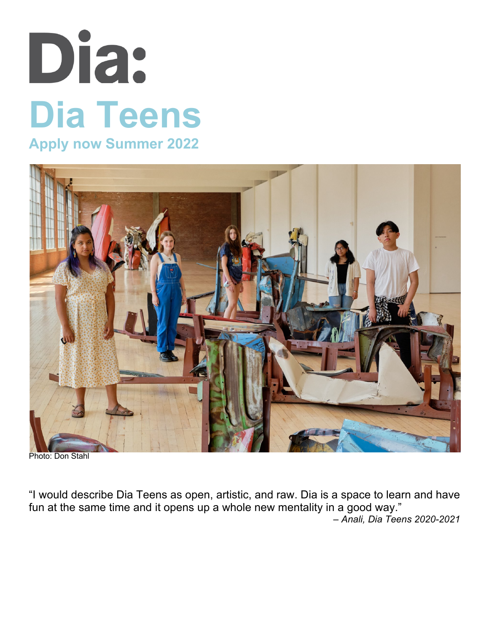# Dia: **Dia Teens Apply now Summer 2022**



Photo: Don Stahl

"I would describe Dia Teens as open, artistic, and raw. Dia is a space to learn and have fun at the same time and it opens up a whole new mentality in a good way."

*– Anali, Dia Teens 2020-2021*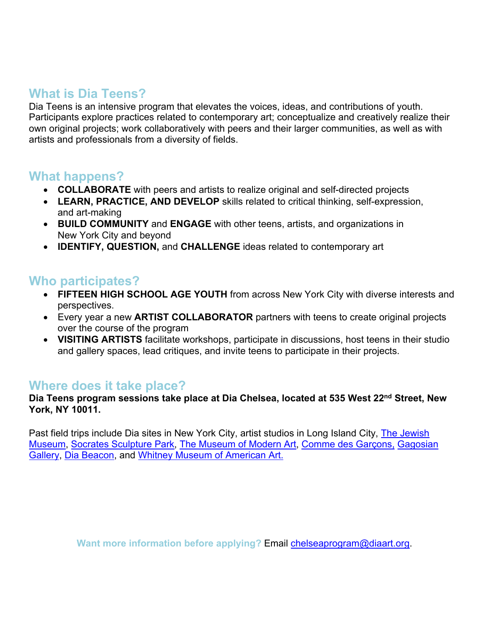# **What is Dia Teens?**

Dia Teens is an intensive program that elevates the voices, ideas, and contributions of youth. Participants explore practices related to contemporary art; conceptualize and creatively realize their own original projects; work collaboratively with peers and their larger communities, as well as with artists and professionals from a diversity of fields.

## **What happens?**

- **COLLABORATE** with peers and artists to realize original and self-directed projects
- **LEARN, PRACTICE, AND DEVELOP** skills related to critical thinking, self-expression, and art-making
- **BUILD COMMUNITY** and **ENGAGE** with other teens, artists, and organizations in New York City and beyond
- **IDENTIFY, QUESTION,** and **CHALLENGE** ideas related to contemporary art

## **Who participates?**

- **FIFTEEN HIGH SCHOOL AGE YOUTH** from across New York City with diverse interests and perspectives.
- Every year a new **ARTIST COLLABORATOR** partners with teens to create original projects over the course of the program
- **VISITING ARTISTS** facilitate workshops, participate in discussions, host teens in their studio and gallery spaces, lead critiques, and invite teens to participate in their projects.

## **Where does it take place?**

#### **Dia Teens program sessions take place at Dia Chelsea, located at 535 West 22nd Street, New York, NY 10011.**

Past field trips include Dia sites in New York City, artist studios in Long Island City, *The Jewish* Museum, Socrates Sculpture Park, The Museum of Modern Art, Comme des Garçons, Gagosian Gallery, Dia Beacon, and Whitney Museum of American Art.

Want more information before applying? Email **chelseaprogram@diaart.org**.